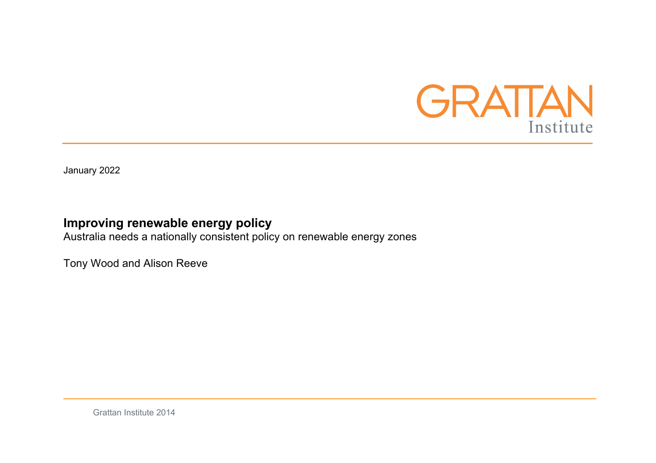

January 2022

# **Improving renewable energy policy**

Australia needs a nationally consistent policy on renewable energy zones

Tony Wood and Alison Reeve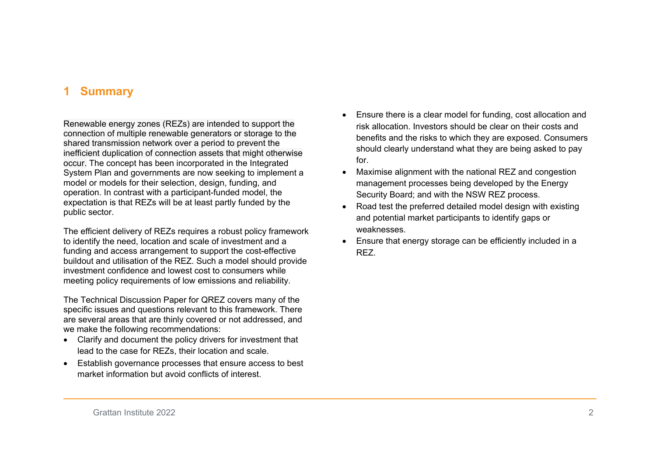## **1 Summary**

Renewable energy zones (REZs) are intended to support the connection of multiple renewable generators or storage to the shared transmission network over a period to prevent the inefficient duplication of connection assets that might otherwise occur. The concept has been incorporated in the Integrated System Plan and governments are now seeking to implement a model or models for their selection, design, funding, and operation. In contrast with a participant-funded model, the expectation is that REZs will be at least partly funded by the public sector.

The efficient delivery of REZs requires a robust policy framework to identify the need, location and scale of investment and a funding and access arrangement to support the cost-effective buildout and utilisation of the REZ. Such a model should provide investment confidence and lowest cost to consumers while meeting policy requirements of low emissions and reliability.

The Technical Discussion Paper for QREZ covers many of the specific issues and questions relevant to this framework. There are several areas that are thinly covered or not addressed, and we make the following recommendations:

- Clarify and document the policy drivers for investment that lead to the case for REZs, their location and scale.
- Establish governance processes that ensure access to best market information but avoid conflicts of interest.
- Ensure there is a clear model for funding, cost allocation and risk allocation. Investors should be clear on their costs and benefits and the risks to which they are exposed. Consumers should clearly understand what they are being asked to pay for.
- Maximise alignment with the national REZ and congestion management processes being developed by the Energy Security Board; and with the NSW REZ process.
- Road test the preferred detailed model design with existing and potential market participants to identify gaps or weaknesses.
- Ensure that energy storage can be efficiently included in a REZ.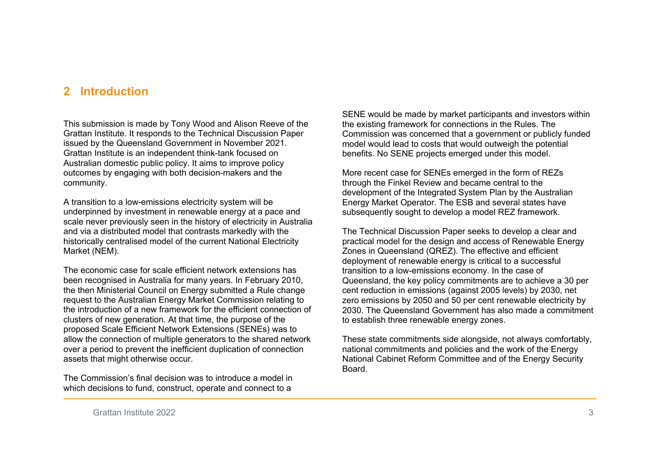## **2 Introduction**

This submission is made by Tony Wood and Alison Reeve of the Grattan Institute. It responds to the Technical Discussion Paper issued by the Queensland Government in November 2021. Grattan Institute is an independent think-tank focused on Australian domestic public policy. It aims to improve policy outcomes by engaging with both decision-makers and the community.

A transition to a low-emissions electricity system will be underpinned by investment in renewable energy at a pace and scale never previously seen in the history of electricity in Australia and via a distributed model that contrasts markedly with the historically centralised model of the current National Electricity Market (NEM).

The economic case for scale efficient network extensions has been recognised in Australia for many years. In February 2010, the then Ministerial Council on Energy submitted a Rule change request to the Australian Energy Market Commission relating to the introduction of a new framework for the efficient connection of clusters of new generation. At that time, the purpose of the proposed Scale Efficient Network Extensions (SENEs) was to allow the connection of multiple generators to the shared network over a period to prevent the inefficient duplication of connection assets that might otherwise occur.

The Commission's final decision was to introduce a model in which decisions to fund, construct, operate and connect to a

SENE would be made by market participants and investors within the existing framework for connections in the Rules. The Commission was concerned that a government or publicly funded model would lead to costs that would outweigh the potential benefits. No SENE projects emerged under this model.

More recent case for SENEs emerged in the form of REZs through the Finkel Review and became central to the development of the Integrated System Plan by the Australian Energy Market Operator. The ESB and several states have subsequently sought to develop a model REZ framework.

The Technical Discussion Paper seeks to develop a clear and practical model for the design and access of Renewable Energy Zones in Queensland (QREZ). The effective and efficient deployment of renewable energy is critical to a successful transition to a low-emissions economy. In the case of Queensland, the key policy commitments are to achieve a 30 per cent reduction in emissions (against 2005 levels) by 2030, net zero emissions by 2050 and 50 per cent renewable electricity by 2030. The Queensland Government has also made a commitment to establish three renewable energy zones.

These state commitments side alongside, not always comfortably, national commitments and policies and the work of the Energy National Cabinet Reform Committee and of the Energy Security Board.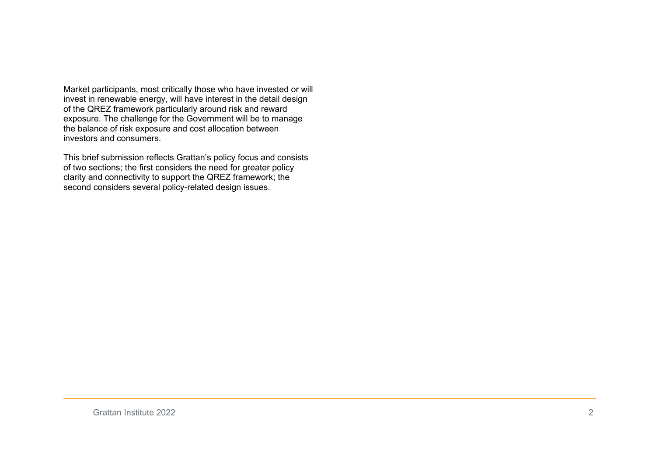Market participants, most critically those who have invested or will invest in renewable energy, will have interest in the detail design of the QREZ framework particularly around risk and reward exposure. The challenge for the Government will be to manage the balance of risk exposure and cost allocation between investors and consumers.

This brief submission reflects Grattan's policy focus and consists of two sections; the first considers the need for greater policy clarity and connectivity to support the QREZ framework; the second considers several policy-related design issues.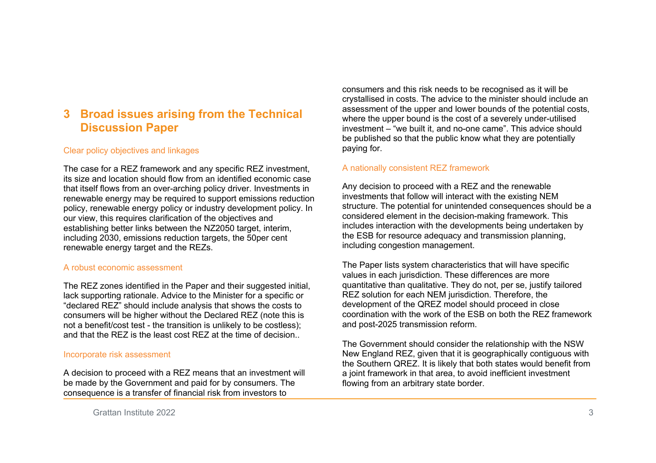## **3 Broad issues arising from the Technical Discussion Paper**

## Clear policy objectives and linkages

The case for a REZ framework and any specific REZ investment, its size and location should flow from an identified economic case that itself flows from an over-arching policy driver. Investments in renewable energy may be required to support emissions reduction policy, renewable energy policy or industry development policy. In our view, this requires clarification of the objectives and establishing better links between the NZ2050 target, interim, including 2030, emissions reduction targets, the 50per cent renewable energy target and the REZs.

## A robust economic assessment

The REZ zones identified in the Paper and their suggested initial, lack supporting rationale. Advice to the Minister for a specific or "declared REZ" should include analysis that shows the costs to consumers will be higher without the Declared REZ (note this is not a benefit/cost test - the transition is unlikely to be costless); and that the RFZ is the least cost RFZ at the time of decision

## Incorporate risk assessment

A decision to proceed with a REZ means that an investment will be made by the Government and paid for by consumers. The consequence is a transfer of financial risk from investors to

Grattan Institute 2022 3

consumers and this risk needs to be recognised as it will be crystallised in costs. The advice to the minister should include an assessment of the upper and lower bounds of the potential costs, where the upper bound is the cost of a severely under-utilised investment – "we built it, and no-one came". This advice should be published so that the public know what they are potentially paying for.

## A nationally consistent REZ framework

Any decision to proceed with a REZ and the renewable investments that follow will interact with the existing NEM structure. The potential for unintended consequences should be a considered element in the decision-making framework. This includes interaction with the developments being undertaken by the ESB for resource adequacy and transmission planning, including congestion management.

The Paper lists system characteristics that will have specific values in each jurisdiction. These differences are more quantitative than qualitative. They do not, per se, justify tailored REZ solution for each NEM jurisdiction. Therefore, the development of the QREZ model should proceed in close coordination with the work of the ESB on both the REZ framework and post-2025 transmission reform.

The Government should consider the relationship with the NSW New England REZ, given that it is geographically contiguous with the Southern QREZ. It is likely that both states would benefit from a joint framework in that area, to avoid inefficient investment flowing from an arbitrary state border.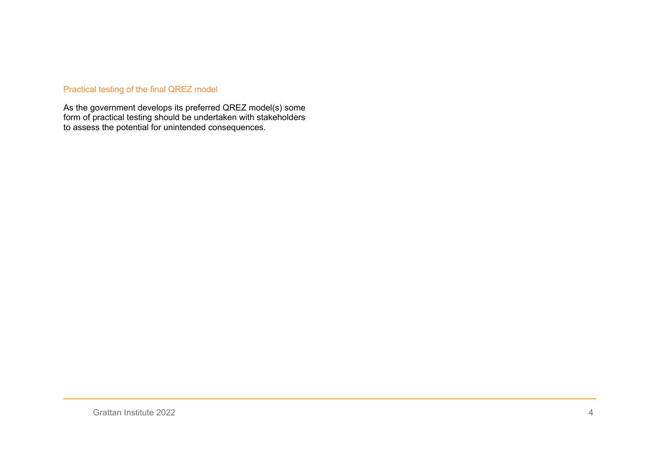## Practical testing of the final QREZ model

As the government develops its preferred QREZ model(s) some form of practical testing should be undertaken with stakeholders to assess the potential for unintended consequences.